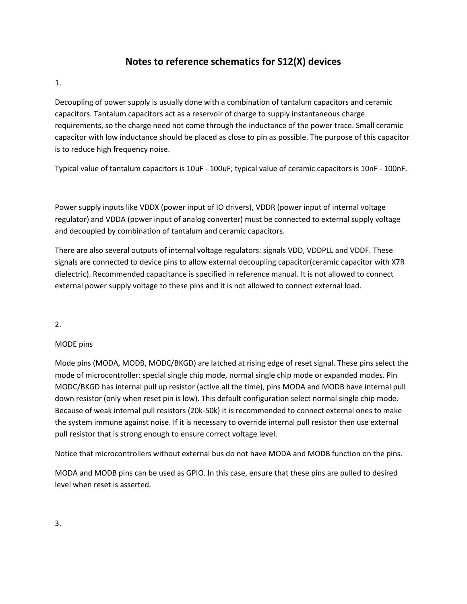## **Notes to reference schematics for S12(X) devices**

1.

Decoupling of power supply is usually done with a combination of tantalum capacitors and ceramic capacitors. Tantalum capacitors act as a reservoir of charge to supply instantaneous charge requirements, so the charge need not come through the inductance of the power trace. Small ceramic capacitor with low inductance should be placed as close to pin as possible. The purpose of this capacitor is to reduce high frequency noise.

Typical value of tantalum capacitors is 10uF - 100uF; typical value of ceramic capacitors is 10nF - 100nF.

Power supply inputs like VDDX (power input of IO drivers), VDDR (power input of internal voltage regulator) and VDDA (power input of analog converter) must be connected to external supply voltage and decoupled by combination of tantalum and ceramic capacitors.

There are also several outputs of internal voltage regulators: signals VDD, VDDPLL and VDDF. These signals are connected to device pins to allow external decoupling capacitor(ceramic capacitor with X7R dielectric). Recommended capacitance is specified in reference manual. It is not allowed to connect external power supply voltage to these pins and it is not allowed to connect external load.

2.

## MODE pins

Mode pins (MODA, MODB, MODC/BKGD) are latched at rising edge of reset signal. These pins select the mode of microcontroller: special single chip mode, normal single chip mode or expanded modes. Pin MODC/BKGD has internal pull up resistor (active all the time), pins MODA and MODB have internal pull down resistor (only when reset pin is low). This default configuration select normal single chip mode. Because of weak internal pull resistors (20k-50k) it is recommended to connect external ones to make the system immune against noise. If it is necessary to override internal pull resistor then use external pull resistor that is strong enough to ensure correct voltage level.

Notice that microcontrollers without external bus do not have MODA and MODB function on the pins.

MODA and MODB pins can be used as GPIO. In this case, ensure that these pins are pulled to desired level when reset is asserted.